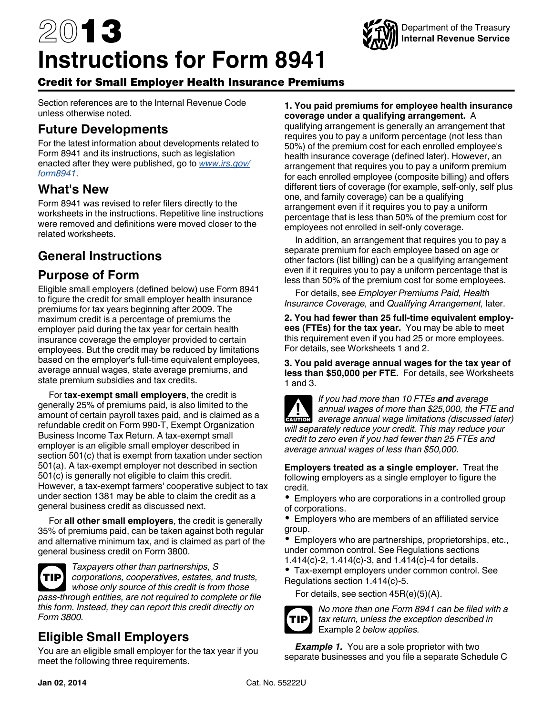# 2013 **Instructions for Form 8941**



### Credit for Small Employer Health Insurance Premiums

Section references are to the Internal Revenue Code unless otherwise noted.

### **Future Developments**

For the latest information about developments related to Form 8941 and its instructions, such as legislation enacted after they were published, go to *[www.irs.gov/](http://www.irs.gov/form8941) [form8941](http://www.irs.gov/form8941)*.

# **What's New**

Form 8941 was revised to refer filers directly to the worksheets in the instructions. Repetitive line instructions were removed and definitions were moved closer to the related worksheets.

# **General Instructions**

### **Purpose of Form**

Eligible small employers (defined below) use Form 8941 to figure the credit for small employer health insurance premiums for tax years beginning after 2009. The maximum credit is a percentage of premiums the employer paid during the tax year for certain health insurance coverage the employer provided to certain employees. But the credit may be reduced by limitations based on the employer's full-time equivalent employees, average annual wages, state average premiums, and state premium subsidies and tax credits.

For **tax-exempt small employers**, the credit is generally 25% of premiums paid, is also limited to the amount of certain payroll taxes paid, and is claimed as a refundable credit on Form 990-T, Exempt Organization Business Income Tax Return. A tax-exempt small employer is an eligible small employer described in section 501(c) that is exempt from taxation under section 501(a). A tax-exempt employer not described in section 501(c) is generally not eligible to claim this credit. However, a tax-exempt farmers' cooperative subject to tax under section 1381 may be able to claim the credit as a general business credit as discussed next.

For **all other small employers**, the credit is generally 35% of premiums paid, can be taken against both regular and alternative minimum tax, and is claimed as part of the general business credit on Form 3800.

*Taxpayers other than partnerships, S corporations, cooperatives, estates, and trusts, whose only source of this credit is from those pass-through entities, are not required to complete or file this form. Instead, they can report this credit directly on Form 3800.* **TIP**

# **Eligible Small Employers**

You are an eligible small employer for the tax year if you meet the following three requirements.

#### **1. You paid premiums for employee health insurance coverage under a qualifying arrangement.** A

qualifying arrangement is generally an arrangement that requires you to pay a uniform percentage (not less than 50%) of the premium cost for each enrolled employee's health insurance coverage (defined later). However, an arrangement that requires you to pay a uniform premium for each enrolled employee (composite billing) and offers different tiers of coverage (for example, self-only, self plus one, and family coverage) can be a qualifying arrangement even if it requires you to pay a uniform percentage that is less than 50% of the premium cost for employees not enrolled in self-only coverage.

In addition, an arrangement that requires you to pay a separate premium for each employee based on age or other factors (list billing) can be a qualifying arrangement even if it requires you to pay a uniform percentage that is less than 50% of the premium cost for some employees.

For details, see *Employer Premiums Paid, Health Insurance Coverage,* and *Qualifying Arrangement,* later.

**2. You had fewer than 25 full-time equivalent employees (FTEs) for the tax year.** You may be able to meet this requirement even if you had 25 or more employees. For details, see Worksheets 1 and 2.

**3. You paid average annual wages for the tax year of less than \$50,000 per FTE.** For details, see Worksheets 1 and 3.

*If you had more than 10 FTEs and average annual wages of more than \$25,000, the FTE and*  **z** annual wages of more than \$25,000, the FTE and average annual wage limitations (discussed later) *will separately reduce your credit. This may reduce your credit to zero even if you had fewer than 25 FTEs and average annual wages of less than \$50,000.*

**Employers treated as a single employer.** Treat the following employers as a single employer to figure the credit.

- Employers who are corporations in a controlled group of corporations.
- Employers who are members of an affiliated service group.
- Employers who are partnerships, proprietorships, etc., under common control. See Regulations sections 1.414(c)-2, 1.414(c)-3, and 1.414(c)-4 for details.
- Tax-exempt employers under common control. See Regulations section 1.414(c)-5.

For details, see section 45R(e)(5)(A).



*No more than one Form 8941 can be filed with a tax return, unless the exception described in*  Example 2 *below applies.*

*Example 1.* You are a sole proprietor with two separate businesses and you file a separate Schedule C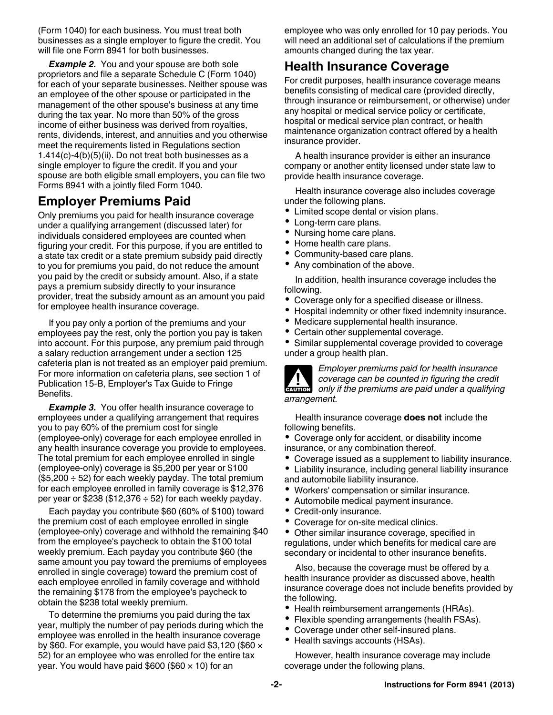(Form 1040) for each business. You must treat both businesses as a single employer to figure the credit. You will file one Form 8941 for both businesses.

**Example 2.** You and your spouse are both sole proprietors and file a separate Schedule C (Form 1040) for each of your separate businesses. Neither spouse was an employee of the other spouse or participated in the management of the other spouse's business at any time during the tax year. No more than 50% of the gross income of either business was derived from royalties, rents, dividends, interest, and annuities and you otherwise meet the requirements listed in Regulations section 1.414(c)-4(b)(5)(ii). Do not treat both businesses as a single employer to figure the credit. If you and your spouse are both eligible small employers, you can file two Forms 8941 with a jointly filed Form 1040.

### **Employer Premiums Paid**

Only premiums you paid for health insurance coverage under a qualifying arrangement (discussed later) for individuals considered employees are counted when figuring your credit. For this purpose, if you are entitled to a state tax credit or a state premium subsidy paid directly to you for premiums you paid, do not reduce the amount you paid by the credit or subsidy amount. Also, if a state pays a premium subsidy directly to your insurance provider, treat the subsidy amount as an amount you paid for employee health insurance coverage.

If you pay only a portion of the premiums and your employees pay the rest, only the portion you pay is taken into account. For this purpose, any premium paid through a salary reduction arrangement under a section 125 cafeteria plan is not treated as an employer paid premium. For more information on cafeteria plans, see section 1 of Publication 15-B, Employer's Tax Guide to Fringe Benefits.

**Example 3.** You offer health insurance coverage to employees under a qualifying arrangement that requires you to pay 60% of the premium cost for single (employee-only) coverage for each employee enrolled in any health insurance coverage you provide to employees. The total premium for each employee enrolled in single (employee-only) coverage is \$5,200 per year or \$100  $($5,200 \div 52)$  for each weekly payday. The total premium for each employee enrolled in family coverage is \$12,376 per year or \$238 (\$12,376  $\div$  52) for each weekly payday.

Each payday you contribute \$60 (60% of \$100) toward the premium cost of each employee enrolled in single (employee-only) coverage and withhold the remaining \$40 from the employee's paycheck to obtain the \$100 total weekly premium. Each payday you contribute \$60 (the same amount you pay toward the premiums of employees enrolled in single coverage) toward the premium cost of each employee enrolled in family coverage and withhold the remaining \$178 from the employee's paycheck to obtain the \$238 total weekly premium.

To determine the premiums you paid during the tax year, multiply the number of pay periods during which the employee was enrolled in the health insurance coverage by \$60. For example, you would have paid \$3,120 (\$60  $\times$ 52) for an employee who was enrolled for the entire tax year. You would have paid \$600 (\$60  $\times$  10) for an

employee who was only enrolled for 10 pay periods. You will need an additional set of calculations if the premium amounts changed during the tax year.

# **Health Insurance Coverage**

For credit purposes, health insurance coverage means benefits consisting of medical care (provided directly, through insurance or reimbursement, or otherwise) under any hospital or medical service policy or certificate, hospital or medical service plan contract, or health maintenance organization contract offered by a health insurance provider.

A health insurance provider is either an insurance company or another entity licensed under state law to provide health insurance coverage.

Health insurance coverage also includes coverage under the following plans.

- Limited scope dental or vision plans.
- Long-term care plans.
- Nursing home care plans.
- Home health care plans.
- Community-based care plans.
- Any combination of the above.

In addition, health insurance coverage includes the following.

- Coverage only for a specified disease or illness.
- $\bullet$ Hospital indemnity or other fixed indemnity insurance.
- $\bullet$ Medicare supplemental health insurance.
- Certain other supplemental coverage.

Similar supplemental coverage provided to coverage under a group health plan.



*Employer premiums paid for health insurance coverage can be counted in figuring the credit*  **only if the premiums are paid under a qualifying the credit only if the premiums are paid under a qualifying** *arrangement.*

Health insurance coverage **does not** include the following benefits.

- Coverage only for accident, or disability income insurance, or any combination thereof.
- Coverage issued as a supplement to liability insurance.
- Liability insurance, including general liability insurance
- and automobile liability insurance.
- Workers' compensation or similar insurance.
- Automobile medical payment insurance.
- Credit-only insurance.
- Coverage for on-site medical clinics.

 $\bullet$ Other similar insurance coverage, specified in regulations, under which benefits for medical care are secondary or incidental to other insurance benefits.

Also, because the coverage must be offered by a health insurance provider as discussed above, health insurance coverage does not include benefits provided by the following.

- Health reimbursement arrangements (HRAs).
- Flexible spending arrangements (health FSAs).
- Coverage under other self-insured plans.
- Health savings accounts (HSAs).

However, health insurance coverage may include coverage under the following plans.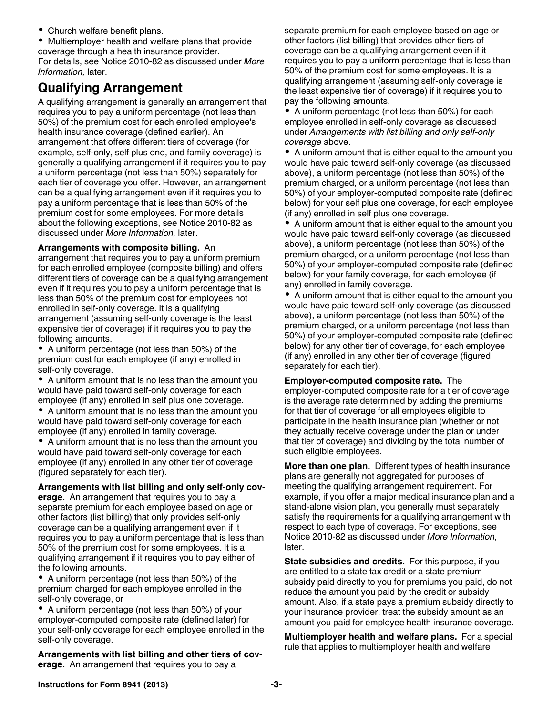Church welfare benefit plans.

Multiemployer health and welfare plans that provide coverage through a health insurance provider.

For details, see Notice 2010-82 as discussed under *More Information,* later.

### **Qualifying Arrangement**

A qualifying arrangement is generally an arrangement that requires you to pay a uniform percentage (not less than 50%) of the premium cost for each enrolled employee's health insurance coverage (defined earlier). An arrangement that offers different tiers of coverage (for example, self-only, self plus one, and family coverage) is generally a qualifying arrangement if it requires you to pay a uniform percentage (not less than 50%) separately for each tier of coverage you offer. However, an arrangement can be a qualifying arrangement even if it requires you to pay a uniform percentage that is less than 50% of the premium cost for some employees. For more details about the following exceptions, see Notice 2010-82 as discussed under *More Information,* later.

#### **Arrangements with composite billing.** An

arrangement that requires you to pay a uniform premium for each enrolled employee (composite billing) and offers different tiers of coverage can be a qualifying arrangement even if it requires you to pay a uniform percentage that is less than 50% of the premium cost for employees not enrolled in self-only coverage. It is a qualifying arrangement (assuming self-only coverage is the least expensive tier of coverage) if it requires you to pay the following amounts.

A uniform percentage (not less than 50%) of the premium cost for each employee (if any) enrolled in self-only coverage.

A uniform amount that is no less than the amount you would have paid toward self-only coverage for each employee (if any) enrolled in self plus one coverage.

A uniform amount that is no less than the amount you would have paid toward self-only coverage for each employee (if any) enrolled in family coverage.

A uniform amount that is no less than the amount you would have paid toward self-only coverage for each employee (if any) enrolled in any other tier of coverage (figured separately for each tier).

#### **Arrangements with list billing and only self-only cov-**

**erage.** An arrangement that requires you to pay a separate premium for each employee based on age or other factors (list billing) that only provides self-only coverage can be a qualifying arrangement even if it requires you to pay a uniform percentage that is less than 50% of the premium cost for some employees. It is a qualifying arrangement if it requires you to pay either of the following amounts.

A uniform percentage (not less than 50%) of the premium charged for each employee enrolled in the self-only coverage, or

A uniform percentage (not less than 50%) of your employer-computed composite rate (defined later) for your self-only coverage for each employee enrolled in the self-only coverage.

**Arrangements with list billing and other tiers of coverage.** An arrangement that requires you to pay a

separate premium for each employee based on age or other factors (list billing) that provides other tiers of coverage can be a qualifying arrangement even if it requires you to pay a uniform percentage that is less than 50% of the premium cost for some employees. It is a qualifying arrangement (assuming self-only coverage is the least expensive tier of coverage) if it requires you to pay the following amounts.

• A uniform percentage (not less than 50%) for each employee enrolled in self-only coverage as discussed under *Arrangements with list billing and only self-only coverage* above.

A uniform amount that is either equal to the amount you would have paid toward self-only coverage (as discussed above), a uniform percentage (not less than 50%) of the premium charged, or a uniform percentage (not less than 50%) of your employer-computed composite rate (defined below) for your self plus one coverage, for each employee (if any) enrolled in self plus one coverage.

 $\bullet$ A uniform amount that is either equal to the amount you would have paid toward self-only coverage (as discussed above), a uniform percentage (not less than 50%) of the premium charged, or a uniform percentage (not less than 50%) of your employer-computed composite rate (defined below) for your family coverage, for each employee (if any) enrolled in family coverage.

A uniform amount that is either equal to the amount you would have paid toward self-only coverage (as discussed above), a uniform percentage (not less than 50%) of the premium charged, or a uniform percentage (not less than 50%) of your employer-computed composite rate (defined below) for any other tier of coverage, for each employee (if any) enrolled in any other tier of coverage (figured separately for each tier).

**Employer-computed composite rate.** The employer-computed composite rate for a tier of coverage is the average rate determined by adding the premiums for that tier of coverage for all employees eligible to participate in the health insurance plan (whether or not they actually receive coverage under the plan or under that tier of coverage) and dividing by the total number of such eligible employees.

**More than one plan.** Different types of health insurance plans are generally not aggregated for purposes of meeting the qualifying arrangement requirement. For example, if you offer a major medical insurance plan and a stand-alone vision plan, you generally must separately satisfy the requirements for a qualifying arrangement with respect to each type of coverage. For exceptions, see Notice 2010-82 as discussed under *More Information,*  later.

**State subsidies and credits.** For this purpose, if you are entitled to a state tax credit or a state premium subsidy paid directly to you for premiums you paid, do not reduce the amount you paid by the credit or subsidy amount. Also, if a state pays a premium subsidy directly to your insurance provider, treat the subsidy amount as an amount you paid for employee health insurance coverage.

**Multiemployer health and welfare plans.** For a special rule that applies to multiemployer health and welfare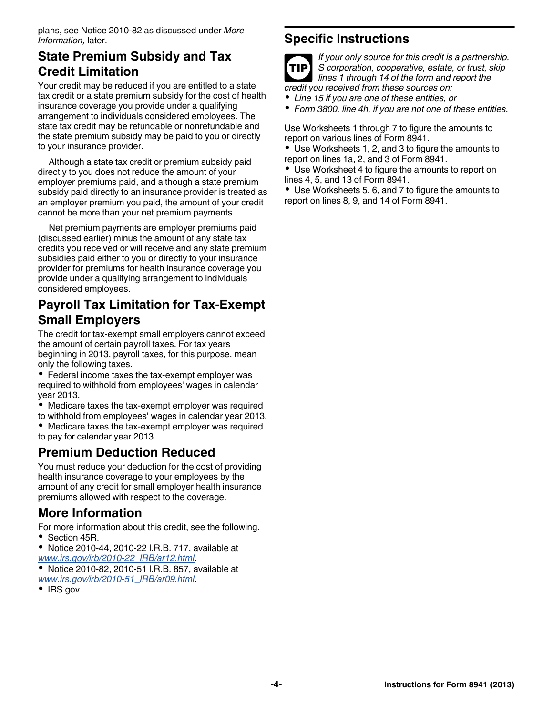plans, see Notice 2010-82 as discussed under *More Information,* later.

# **State Premium Subsidy and Tax Credit Limitation**

Your credit may be reduced if you are entitled to a state tax credit or a state premium subsidy for the cost of health insurance coverage you provide under a qualifying arrangement to individuals considered employees. The state tax credit may be refundable or nonrefundable and the state premium subsidy may be paid to you or directly to your insurance provider.

Although a state tax credit or premium subsidy paid directly to you does not reduce the amount of your employer premiums paid, and although a state premium subsidy paid directly to an insurance provider is treated as an employer premium you paid, the amount of your credit cannot be more than your net premium payments.

Net premium payments are employer premiums paid (discussed earlier) minus the amount of any state tax credits you received or will receive and any state premium subsidies paid either to you or directly to your insurance provider for premiums for health insurance coverage you provide under a qualifying arrangement to individuals considered employees.

# **Payroll Tax Limitation for Tax-Exempt Small Employers**

The credit for tax-exempt small employers cannot exceed the amount of certain payroll taxes. For tax years beginning in 2013, payroll taxes, for this purpose, mean only the following taxes.

- Federal income taxes the tax-exempt employer was required to withhold from employees' wages in calendar year 2013.
- Medicare taxes the tax-exempt employer was required to withhold from employees' wages in calendar year 2013.
- Medicare taxes the tax-exempt employer was required to pay for calendar year 2013.

# **Premium Deduction Reduced**

You must reduce your deduction for the cost of providing health insurance coverage to your employees by the amount of any credit for small employer health insurance premiums allowed with respect to the coverage.

# **More Information**

For more information about this credit, see the following. **Section 45R.** 

- Notice 2010-44, 2010-22 I.R.B. 717, available at *[www.irs.gov/irb/2010-22\\_IRB/ar12.html](http://www.irs.gov/irb/2010-22_IRB/ar12.html)*.
- Notice 2010-82, 2010-51 I.R.B. 857, available at *[www.irs.gov/irb/2010-51\\_IRB/ar09.html](http://www.irs.gov/irb/2010-51_IRB/ar09.html)*.
- IRS.gov.

# **Specific Instructions**



*If your only source for this credit is a partnership, S corporation, cooperative, estate, or trust, skip lines 1 through 14 of the form and report the credit you received from these sources on:*

*Line 15 if you are one of these entities, or*

*Form 3800, line 4h, if you are not one of these entities.*

Use Worksheets 1 through 7 to figure the amounts to report on various lines of Form 8941.

Use Worksheets 1, 2, and 3 to figure the amounts to report on lines 1a, 2, and 3 of Form 8941.

Use Worksheet 4 to figure the amounts to report on lines 4, 5, and 13 of Form 8941.

Use Worksheets 5, 6, and 7 to figure the amounts to report on lines 8, 9, and 14 of Form 8941.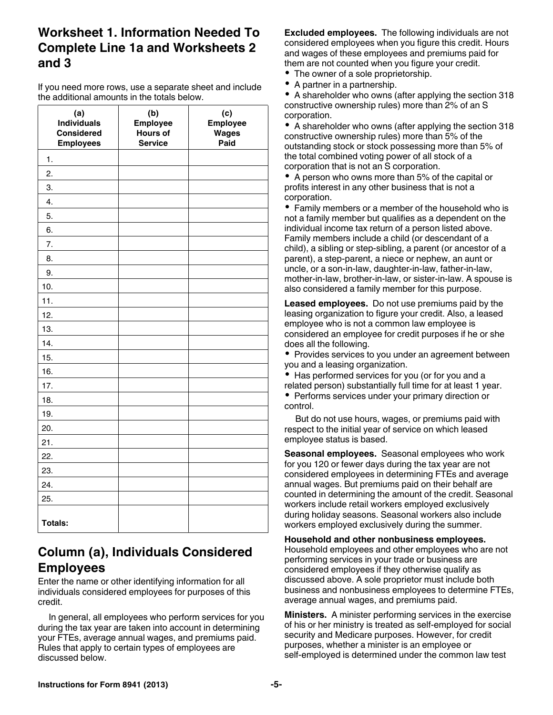# **Worksheet 1. Information Needed To Complete Line 1a and Worksheets 2 and 3**

If you need more rows, use a separate sheet and include the additional amounts in the totals below.

| (a)<br><b>Individuals</b><br><b>Considered</b><br><b>Employees</b> | (b)<br>Employee<br>Hours of<br><b>Service</b> | (c)<br>Employee<br>Wages<br>Paid |
|--------------------------------------------------------------------|-----------------------------------------------|----------------------------------|
| 1.                                                                 |                                               |                                  |
| 2.                                                                 |                                               |                                  |
| 3.                                                                 |                                               |                                  |
| 4.                                                                 |                                               |                                  |
| 5.                                                                 |                                               |                                  |
| 6.                                                                 |                                               |                                  |
| 7.                                                                 |                                               |                                  |
| 8.                                                                 |                                               |                                  |
| 9.                                                                 |                                               |                                  |
| 10.                                                                |                                               |                                  |
| 11.                                                                |                                               |                                  |
| 12.                                                                |                                               |                                  |
| 13.                                                                |                                               |                                  |
| 14.                                                                |                                               |                                  |
| 15.                                                                |                                               |                                  |
| 16.                                                                |                                               |                                  |
| 17.                                                                |                                               |                                  |
| 18.                                                                |                                               |                                  |
| 19.                                                                |                                               |                                  |
| 20.                                                                |                                               |                                  |
| 21.                                                                |                                               |                                  |
| 22.                                                                |                                               |                                  |
| 23.                                                                |                                               |                                  |
| 24.                                                                |                                               |                                  |
| 25.                                                                |                                               |                                  |
| <b>Totals:</b>                                                     |                                               |                                  |

# **Column (a), Individuals Considered Employees**

Enter the name or other identifying information for all individuals considered employees for purposes of this credit.

In general, all employees who perform services for you during the tax year are taken into account in determining your FTEs, average annual wages, and premiums paid. Rules that apply to certain types of employees are discussed below.

**Excluded employees.** The following individuals are not considered employees when you figure this credit. Hours and wages of these employees and premiums paid for them are not counted when you figure your credit.

- The owner of a sole proprietorship.
- A partner in a partnership.

A shareholder who owns (after applying the section 318 constructive ownership rules) more than 2% of an S corporation.

A shareholder who owns (after applying the section 318 constructive ownership rules) more than 5% of the outstanding stock or stock possessing more than 5% of the total combined voting power of all stock of a corporation that is not an S corporation.

• A person who owns more than 5% of the capital or profits interest in any other business that is not a corporation.

Family members or a member of the household who is not a family member but qualifies as a dependent on the individual income tax return of a person listed above. Family members include a child (or descendant of a child), a sibling or step-sibling, a parent (or ancestor of a parent), a step-parent, a niece or nephew, an aunt or uncle, or a son-in-law, daughter-in-law, father-in-law, mother-in-law, brother-in-law, or sister-in-law. A spouse is also considered a family member for this purpose.

**Leased employees.** Do not use premiums paid by the leasing organization to figure your credit. Also, a leased employee who is not a common law employee is considered an employee for credit purposes if he or she does all the following.

• Provides services to you under an agreement between you and a leasing organization.

 $\bullet$ Has performed services for you (or for you and a related person) substantially full time for at least 1 year.

• Performs services under your primary direction or control.

But do not use hours, wages, or premiums paid with respect to the initial year of service on which leased employee status is based.

**Seasonal employees.** Seasonal employees who work for you 120 or fewer days during the tax year are not considered employees in determining FTEs and average annual wages. But premiums paid on their behalf are counted in determining the amount of the credit. Seasonal workers include retail workers employed exclusively during holiday seasons. Seasonal workers also include workers employed exclusively during the summer.

#### **Household and other nonbusiness employees.**

Household employees and other employees who are not performing services in your trade or business are considered employees if they otherwise qualify as discussed above. A sole proprietor must include both business and nonbusiness employees to determine FTEs, average annual wages, and premiums paid.

**Ministers.** A minister performing services in the exercise of his or her ministry is treated as self-employed for social security and Medicare purposes. However, for credit purposes, whether a minister is an employee or self-employed is determined under the common law test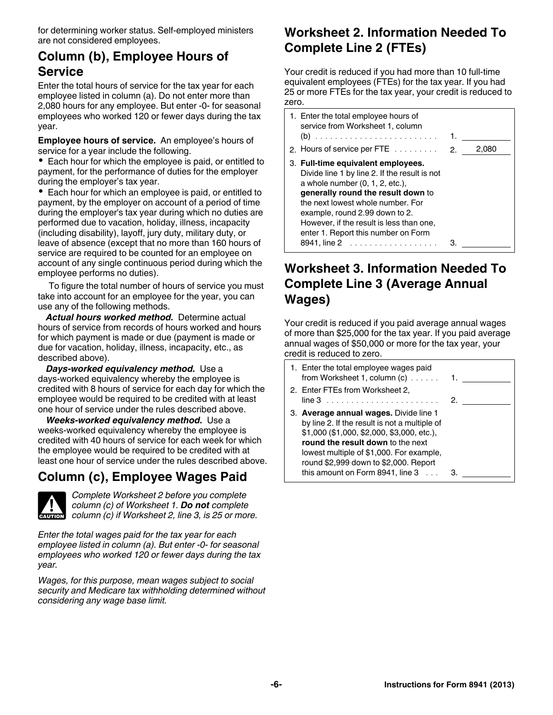for determining worker status. Self-employed ministers are not considered employees.

# **Column (b), Employee Hours of Service**

Enter the total hours of service for the tax year for each employee listed in column (a). Do not enter more than 2,080 hours for any employee. But enter -0- for seasonal employees who worked 120 or fewer days during the tax year.

**Employee hours of service.** An employee's hours of service for a year include the following.

Each hour for which the employee is paid, or entitled to payment, for the performance of duties for the employer during the employer's tax year.

• Each hour for which an employee is paid, or entitled to payment, by the employer on account of a period of time during the employer's tax year during which no duties are performed due to vacation, holiday, illness, incapacity (including disability), layoff, jury duty, military duty, or leave of absence (except that no more than 160 hours of service are required to be counted for an employee on account of any single continuous period during which the employee performs no duties).

To figure the total number of hours of service you must take into account for an employee for the year, you can use any of the following methods.

*Actual hours worked method.* Determine actual hours of service from records of hours worked and hours for which payment is made or due (payment is made or due for vacation, holiday, illness, incapacity, etc., as described above).

*Days-worked equivalency method.* Use a days-worked equivalency whereby the employee is credited with 8 hours of service for each day for which the employee would be required to be credited with at least one hour of service under the rules described above.

*Weeks-worked equivalency method.* Use a weeks-worked equivalency whereby the employee is credited with 40 hours of service for each week for which the employee would be required to be credited with at least one hour of service under the rules described above.

# **Column (c), Employee Wages Paid**



*Complete Worksheet 2 before you complete column (c) of Worksheet 1. Do not complete*  **column (c) of Worksheet 1. Do not complete**<br> **CAUTION COLUMN (c) if Worksheet 2, line 3, is 25 or more.** 

*Enter the total wages paid for the tax year for each employee listed in column (a). But enter -0- for seasonal employees who worked 120 or fewer days during the tax year.*

*Wages, for this purpose, mean wages subject to social security and Medicare tax withholding determined without considering any wage base limit.*

# **Worksheet 2. Information Needed To Complete Line 2 (FTEs)**

Your credit is reduced if you had more than 10 full-time equivalent employees (FTEs) for the tax year. If you had 25 or more FTEs for the tax year, your credit is reduced to zero.

| 1. Enter the total employee hours of<br>service from Worksheet 1, column<br>2. Hours of service per FTE $\ldots$ , , 2.                                                                                                                                                                                                  | 1. | 2,080 |
|--------------------------------------------------------------------------------------------------------------------------------------------------------------------------------------------------------------------------------------------------------------------------------------------------------------------------|----|-------|
| 3. Full-time equivalent employees.<br>Divide line 1 by line 2. If the result is not<br>a whole number $(0, 1, 2, etc.),$<br>generally round the result down to<br>the next lowest whole number. For<br>example, round 2.99 down to 2.<br>However, if the result is less than one,<br>enter 1. Report this number on Form |    |       |

# **Worksheet 3. Information Needed To Complete Line 3 (Average Annual Wages)**

Your credit is reduced if you paid average annual wages of more than \$25,000 for the tax year. If you paid average annual wages of \$50,000 or more for the tax year, your credit is reduced to zero.

| 1. Enter the total employee wages paid<br>from Worksheet 1, column (c)                                                                                                                                                                                                                                       | 1. |
|--------------------------------------------------------------------------------------------------------------------------------------------------------------------------------------------------------------------------------------------------------------------------------------------------------------|----|
| 2. Enter FTEs from Worksheet 2,                                                                                                                                                                                                                                                                              | 2. |
| 3. Average annual wages. Divide line 1<br>by line 2. If the result is not a multiple of<br>\$1,000 (\$1,000, \$2,000, \$3,000, etc.),<br>round the result down to the next<br>lowest multiple of \$1,000. For example,<br>round \$2,999 down to \$2,000. Report<br>this amount on Form 8941, line $3 \ldots$ |    |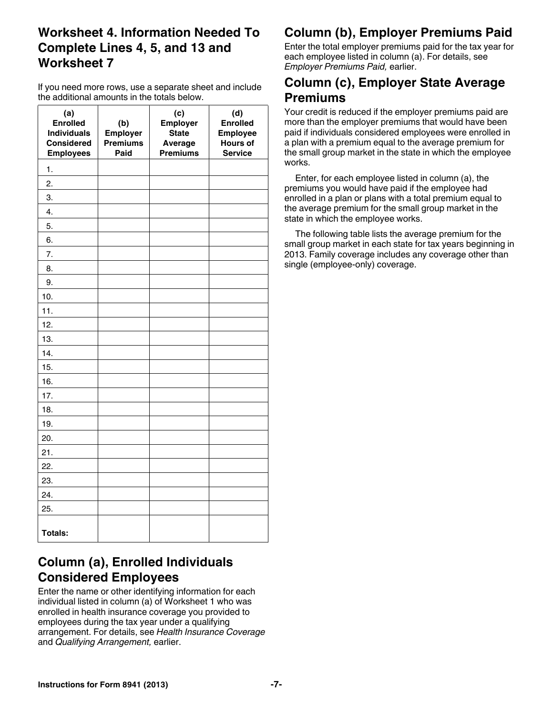# **Worksheet 4. Information Needed To Complete Lines 4, 5, and 13 and Worksheet 7**

If you need more rows, use a separate sheet and include the additional amounts in the totals below.

| (a)<br><b>Enrolled</b><br><b>Individuals</b><br><b>Considered</b><br><b>Employees</b> | (b)<br>Employer<br><b>Premiums</b><br>Paid | (c)<br>Employer<br><b>State</b><br>Average<br><b>Premiums</b> | (d)<br><b>Enrolled</b><br><b>Employee</b><br><b>Hours of</b><br><b>Service</b> |
|---------------------------------------------------------------------------------------|--------------------------------------------|---------------------------------------------------------------|--------------------------------------------------------------------------------|
| 1.                                                                                    |                                            |                                                               |                                                                                |
| 2.                                                                                    |                                            |                                                               |                                                                                |
| 3.                                                                                    |                                            |                                                               |                                                                                |
| 4.                                                                                    |                                            |                                                               |                                                                                |
| 5.                                                                                    |                                            |                                                               |                                                                                |
| 6.                                                                                    |                                            |                                                               |                                                                                |
| 7.                                                                                    |                                            |                                                               |                                                                                |
| 8.                                                                                    |                                            |                                                               |                                                                                |
| 9.                                                                                    |                                            |                                                               |                                                                                |
| 10.                                                                                   |                                            |                                                               |                                                                                |
| 11.                                                                                   |                                            |                                                               |                                                                                |
| 12.                                                                                   |                                            |                                                               |                                                                                |
| 13.                                                                                   |                                            |                                                               |                                                                                |
| 14.                                                                                   |                                            |                                                               |                                                                                |
| 15.                                                                                   |                                            |                                                               |                                                                                |
| 16.                                                                                   |                                            |                                                               |                                                                                |
| 17.                                                                                   |                                            |                                                               |                                                                                |
| 18.                                                                                   |                                            |                                                               |                                                                                |
| 19.                                                                                   |                                            |                                                               |                                                                                |
| 20.                                                                                   |                                            |                                                               |                                                                                |
| 21.                                                                                   |                                            |                                                               |                                                                                |
| 22.                                                                                   |                                            |                                                               |                                                                                |
| 23.                                                                                   |                                            |                                                               |                                                                                |
| 24.                                                                                   |                                            |                                                               |                                                                                |
| 25.                                                                                   |                                            |                                                               |                                                                                |
| <b>Totals:</b>                                                                        |                                            |                                                               |                                                                                |

# **Column (b), Employer Premiums Paid**

Enter the total employer premiums paid for the tax year for each employee listed in column (a). For details, see *Employer Premiums Paid,* earlier.

# **Column (c), Employer State Average Premiums**

Your credit is reduced if the employer premiums paid are more than the employer premiums that would have been paid if individuals considered employees were enrolled in a plan with a premium equal to the average premium for the small group market in the state in which the employee works.

Enter, for each employee listed in column (a), the premiums you would have paid if the employee had enrolled in a plan or plans with a total premium equal to the average premium for the small group market in the state in which the employee works.

The following table lists the average premium for the small group market in each state for tax years beginning in 2013. Family coverage includes any coverage other than single (employee-only) coverage.

# **Column (a), Enrolled Individuals Considered Employees**

Enter the name or other identifying information for each individual listed in column (a) of Worksheet 1 who was enrolled in health insurance coverage you provided to employees during the tax year under a qualifying arrangement. For details, see *Health Insurance Coverage*  and *Qualifying Arrangement,* earlier.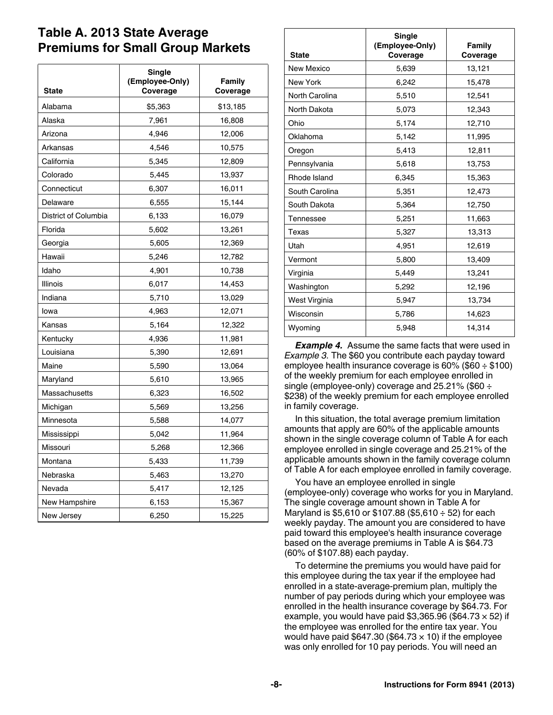## **Table A. 2013 State Average Premiums for Small Group Markets**

| <b>State</b>         | Single<br>(Employee-Only)<br>Coverage | Family<br>Coverage |
|----------------------|---------------------------------------|--------------------|
| Alabama              | \$5,363                               | \$13,185           |
| Alaska               | 7,961                                 | 16,808             |
| Arizona              | 4,946                                 | 12,006             |
| Arkansas             | 4,546                                 | 10,575             |
| California           | 5,345                                 | 12,809             |
| Colorado             | 5,445                                 | 13,937             |
| Connecticut          | 6,307                                 | 16,011             |
| Delaware             | 6,555                                 | 15,144             |
| District of Columbia | 6,133                                 | 16,079             |
| Florida              | 5,602                                 | 13,261             |
| Georgia              | 5,605                                 | 12,369             |
| Hawaii               | 5,246                                 | 12,782             |
| Idaho                | 4,901                                 | 10,738             |
| Illinois             | 6,017                                 | 14,453             |
| Indiana              | 5,710                                 | 13,029             |
| lowa                 | 4,963                                 | 12,071             |
| Kansas               | 5,164                                 | 12,322             |
| Kentucky             | 4,936                                 | 11,981             |
| Louisiana            | 5,390                                 | 12,691             |
| Maine                | 5,590                                 | 13,064             |
| Maryland             | 5,610                                 | 13,965             |
| Massachusetts        | 6,323                                 | 16,502             |
| Michigan             | 5,569                                 | 13,256             |
| Minnesota            | 5,588                                 | 14,077             |
| Mississippi          | 5,042                                 | 11,964             |
| Missouri             | 5,268                                 | 12,366             |
| Montana              | 5,433                                 | 11,739             |
| Nebraska             | 5,463                                 | 13,270             |
| Nevada               | 5,417                                 | 12,125             |
| New Hampshire        | 6,153                                 | 15,367             |
| New Jersey           | 6,250                                 | 15,225             |

| <b>State</b>    | Single<br>(Employee-Only)<br>Coverage | Family<br>Coverage |
|-----------------|---------------------------------------|--------------------|
| New Mexico      | 5,639                                 | 13,121             |
| <b>New York</b> | 6,242                                 | 15,478             |
| North Carolina  | 5,510                                 | 12,541             |
| North Dakota    | 5,073                                 | 12,343             |
| Ohio            | 5,174                                 | 12,710             |
| Oklahoma        | 5,142                                 | 11,995             |
| Oregon          | 5,413                                 | 12,811             |
| Pennsylvania    | 5,618                                 | 13,753             |
| Rhode Island    | 6,345                                 | 15,363             |
| South Carolina  | 5,351                                 | 12,473             |
| South Dakota    | 5,364                                 | 12,750             |
| Tennessee       | 5,251                                 | 11,663             |
| Texas           | 5,327                                 | 13,313             |
| Utah            | 4,951                                 | 12,619             |
| Vermont         | 5,800                                 | 13,409             |
| Virginia        | 5,449                                 | 13,241             |
| Washington      | 5,292                                 | 12,196             |
| West Virginia   | 5,947                                 | 13,734             |
| Wisconsin       | 5,786                                 | 14,623             |
| Wyoming         | 5,948                                 | 14.314             |

**Example 4.** Assume the same facts that were used in *Example 3.* The \$60 you contribute each payday toward employee health insurance coverage is 60% (\$60 ÷ \$100) of the weekly premium for each employee enrolled in single (employee-only) coverage and 25.21% (\$60 ÷ \$238) of the weekly premium for each employee enrolled in family coverage.

In this situation, the total average premium limitation amounts that apply are 60% of the applicable amounts shown in the single coverage column of Table A for each employee enrolled in single coverage and 25.21% of the applicable amounts shown in the family coverage column of Table A for each employee enrolled in family coverage.

You have an employee enrolled in single (employee-only) coverage who works for you in Maryland. The single coverage amount shown in Table A for Maryland is \$5,610 or \$107.88 (\$5,610 ÷ 52) for each weekly payday. The amount you are considered to have paid toward this employee's health insurance coverage based on the average premiums in Table A is \$64.73 (60% of \$107.88) each payday.

To determine the premiums you would have paid for this employee during the tax year if the employee had enrolled in a state-average-premium plan, multiply the number of pay periods during which your employee was enrolled in the health insurance coverage by \$64.73. For example, you would have paid \$3,365.96 (\$64.73  $\times$  52) if the employee was enrolled for the entire tax year. You would have paid \$647.30 (\$64.73  $\times$  10) if the employee was only enrolled for 10 pay periods. You will need an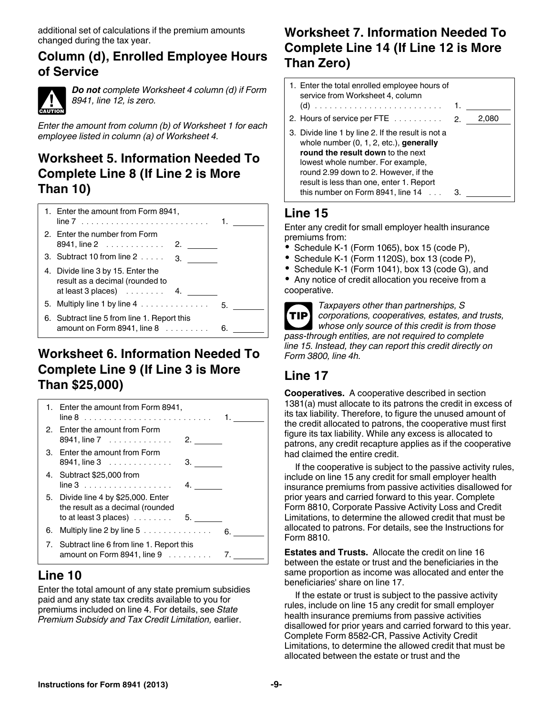additional set of calculations if the premium amounts changed during the tax year.

### **Column (d), Enrolled Employee Hours of Service**



*Do not complete Worksheet 4 column (d) if Form 8941, line 12, is zero.*

*Enter the amount from column (b) of Worksheet 1 for each employee listed in column (a) of Worksheet 4.*

# **Worksheet 5. Information Needed To Complete Line 8 (If Line 2 is More Than 10)**



# **Worksheet 6. Information Needed To Complete Line 9 (If Line 3 is More Than \$25,000)**



# **Line 10**

Enter the total amount of any state premium subsidies paid and any state tax credits available to you for premiums included on line 4. For details, see *State Premium Subsidy and Tax Credit Limitation,* earlier.

# **Worksheet 7. Information Needed To Complete Line 14 (If Line 12 is More Than Zero)**

| 1. Enter the total enrolled employee hours of<br>service from Worksheet 4, column                                                                                                                                                                                                                         |       |
|-----------------------------------------------------------------------------------------------------------------------------------------------------------------------------------------------------------------------------------------------------------------------------------------------------------|-------|
|                                                                                                                                                                                                                                                                                                           | 2.080 |
| 3. Divide line 1 by line 2. If the result is not a<br>whole number $(0, 1, 2, etc.)$ , generally<br>round the result down to the next<br>lowest whole number. For example,<br>round 2.99 down to 2. However, if the<br>result is less than one, enter 1. Report<br>this number on Form $8941$ , line $14$ |       |

# **Line 15**

Enter any credit for small employer health insurance premiums from:

- $\bullet$  Schedule K-1 (Form 1065), box 15 (code P),
- Schedule K-1 (Form 1120S), box 13 (code P),
- Schedule K-1 (Form 1041), box 13 (code G), and

Any notice of credit allocation you receive from a cooperative.

| ı<br>$\mathcal{L}^{\text{max}}_{\text{max}}$ and $\mathcal{L}^{\text{max}}_{\text{max}}$ and $\mathcal{L}^{\text{max}}_{\text{max}}$ |  |
|--------------------------------------------------------------------------------------------------------------------------------------|--|
|                                                                                                                                      |  |

*Taxpayers other than partnerships, S corporations, cooperatives, estates, and trusts, whose only source of this credit is from those pass-through entities, are not required to complete line 15. Instead, they can report this credit directly on Form 3800, line 4h.*

# **Line 17**

**Cooperatives.** A cooperative described in section 1381(a) must allocate to its patrons the credit in excess of its tax liability. Therefore, to figure the unused amount of the credit allocated to patrons, the cooperative must first figure its tax liability. While any excess is allocated to patrons, any credit recapture applies as if the cooperative had claimed the entire credit.

If the cooperative is subject to the passive activity rules, include on line 15 any credit for small employer health insurance premiums from passive activities disallowed for prior years and carried forward to this year. Complete Form 8810, Corporate Passive Activity Loss and Credit Limitations, to determine the allowed credit that must be allocated to patrons. For details, see the Instructions for Form 8810.

**Estates and Trusts.** Allocate the credit on line 16 between the estate or trust and the beneficiaries in the same proportion as income was allocated and enter the beneficiaries' share on line 17.

If the estate or trust is subject to the passive activity rules, include on line 15 any credit for small employer health insurance premiums from passive activities disallowed for prior years and carried forward to this year. Complete Form 8582-CR, Passive Activity Credit Limitations, to determine the allowed credit that must be allocated between the estate or trust and the